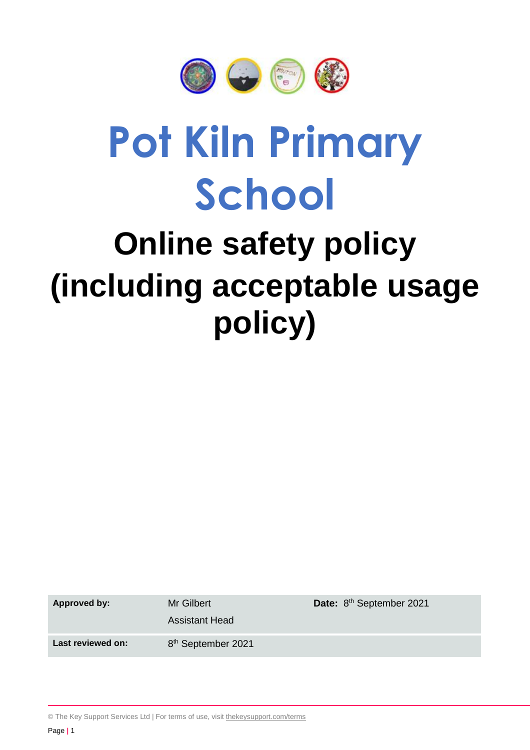

# **Pot Kiln Primary School**

## **Online safety policy (including acceptable usage policy)**

**Approved by:** Mr Gilbert

Assistant Head

Date: 8<sup>th</sup> September 2021

Last reviewed on:

8<sup>th</sup> September 2021

© The Key Support Services Ltd | For terms of use, visit [thekeysupport.com/terms](https://thekeysupport.com/terms-of-use)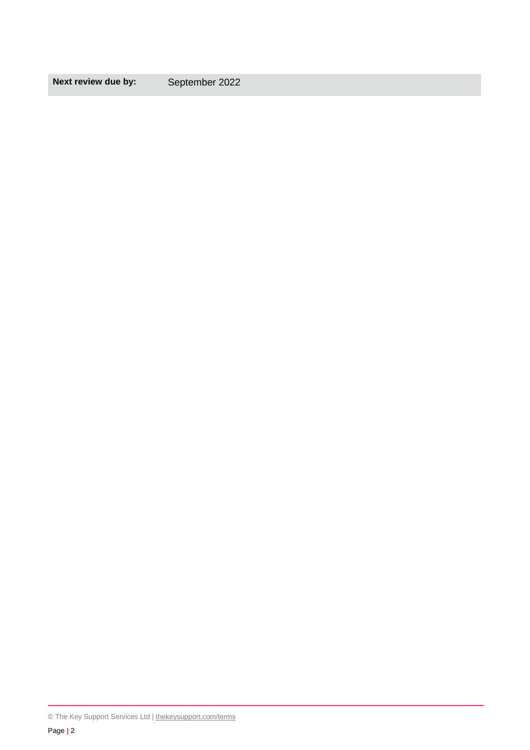**Next review due by:** September 2022

<sup>©</sup> The Key Support Services Ltd | [thekeysupport.com/terms](https://thekeysupport.com/terms-of-use)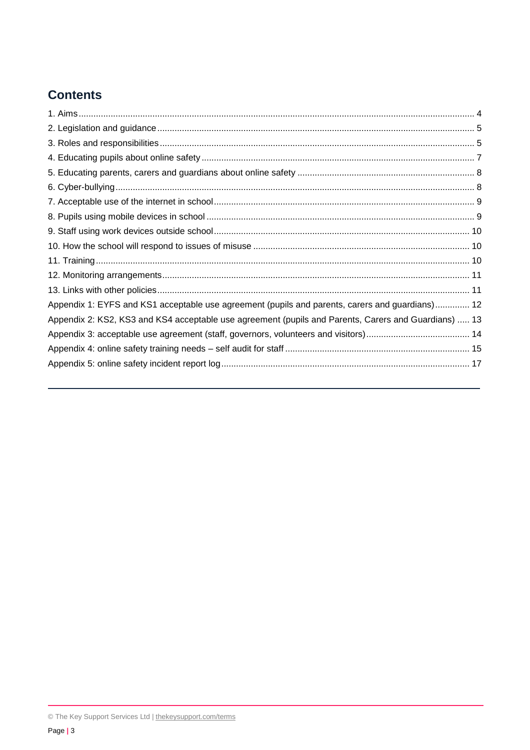## **Contents**

| Appendix 1: EYFS and KS1 acceptable use agreement (pupils and parents, carers and guardians) 12      |  |
|------------------------------------------------------------------------------------------------------|--|
| Appendix 2: KS2, KS3 and KS4 acceptable use agreement (pupils and Parents, Carers and Guardians)  13 |  |
|                                                                                                      |  |
|                                                                                                      |  |
|                                                                                                      |  |
|                                                                                                      |  |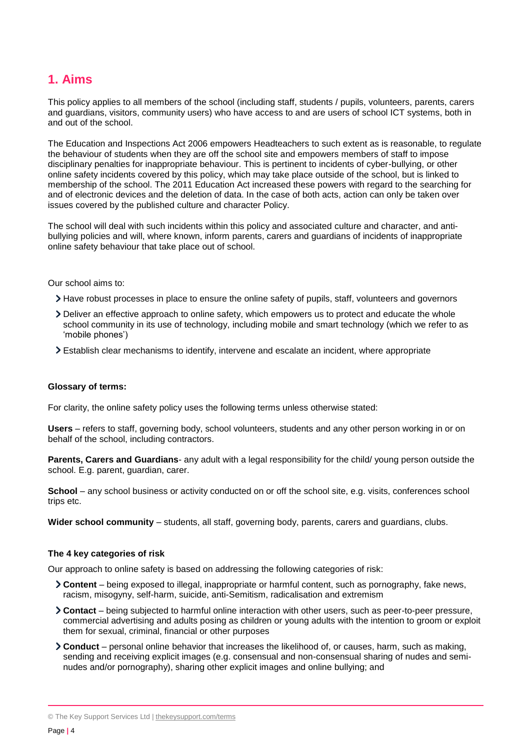## <span id="page-3-0"></span>**1. Aims**

This policy applies to all members of the school (including staff, students / pupils, volunteers, parents, carers and guardians, visitors, community users) who have access to and are users of school ICT systems, both in and out of the school.

The Education and Inspections Act 2006 empowers Headteachers to such extent as is reasonable, to regulate the behaviour of students when they are off the school site and empowers members of staff to impose disciplinary penalties for inappropriate behaviour. This is pertinent to incidents of cyber-bullying, or other online safety incidents covered by this policy, which may take place outside of the school, but is linked to membership of the school. The 2011 Education Act increased these powers with regard to the searching for and of electronic devices and the deletion of data. In the case of both acts, action can only be taken over issues covered by the published culture and character Policy.

The school will deal with such incidents within this policy and associated culture and character, and antibullying policies and will, where known, inform parents, carers and guardians of incidents of inappropriate online safety behaviour that take place out of school.

Our school aims to:

- Have robust processes in place to ensure the online safety of pupils, staff, volunteers and governors
- Deliver an effective approach to online safety, which empowers us to protect and educate the whole school community in its use of technology, including mobile and smart technology (which we refer to as 'mobile phones')
- Establish clear mechanisms to identify, intervene and escalate an incident, where appropriate

#### **Glossary of terms:**

For clarity, the online safety policy uses the following terms unless otherwise stated:

**Users** – refers to staff, governing body, school volunteers, students and any other person working in or on behalf of the school, including contractors.

**Parents, Carers and Guardians-** any adult with a legal responsibility for the child/ young person outside the school. E.g. parent, guardian, carer.

**School** – any school business or activity conducted on or off the school site, e.g. visits, conferences school trips etc.

**Wider school community** – students, all staff, governing body, parents, carers and guardians, clubs.

#### **The 4 key categories of risk**

Our approach to online safety is based on addressing the following categories of risk:

- **Content** being exposed to illegal, inappropriate or harmful content, such as pornography, fake news, racism, misogyny, self-harm, suicide, anti-Semitism, radicalisation and extremism
- **Contact** being subjected to harmful online interaction with other users, such as peer-to-peer pressure, commercial advertising and adults posing as children or young adults with the intention to groom or exploit them for sexual, criminal, financial or other purposes
- **Conduct** personal online behavior that increases the likelihood of, or causes, harm, such as making, sending and receiving explicit images (e.g. consensual and non-consensual sharing of nudes and seminudes and/or pornography), sharing other explicit images and online bullying; and

© The Key Support Services Ltd | [thekeysupport.com/terms](https://thekeysupport.com/terms-of-use)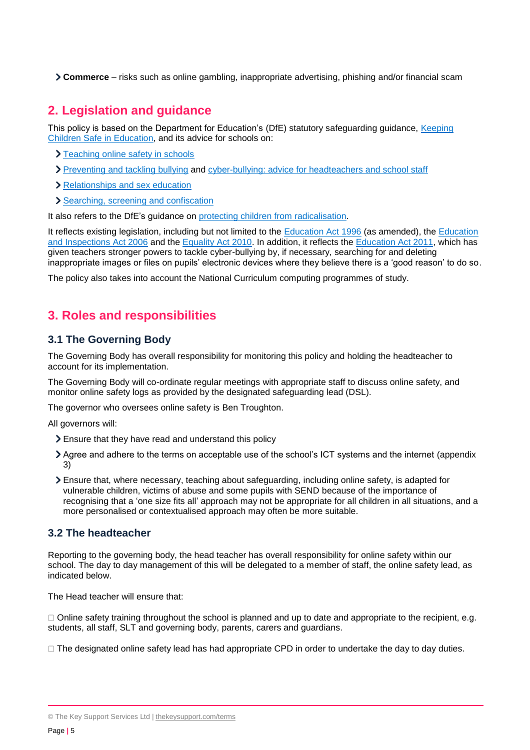**Commerce** – risks such as online gambling, inappropriate advertising, phishing and/or financial scam

## <span id="page-4-0"></span>**2. Legislation and guidance**

This policy is based on the Department for Education's (DfE) statutory safeguarding guidance, [Keeping](https://www.gov.uk/government/publications/keeping-children-safe-in-education--2)  [Children Safe in Education,](https://www.gov.uk/government/publications/keeping-children-safe-in-education--2) and its advice for schools on:

- > [Teaching online safety in schools](https://www.gov.uk/government/publications/teaching-online-safety-in-schools)
- [Preventing and tackling bullying](https://www.gov.uk/government/publications/preventing-and-tackling-bullying) and [cyber-bullying: advice for headteachers and school staff](https://www.gov.uk/government/publications/preventing-and-tackling-bullying)
- > [Relationships and sex education](https://www.gov.uk/government/publications/relationships-education-relationships-and-sex-education-rse-and-health-education)
- > [Searching, screening and confiscation](https://www.gov.uk/government/publications/searching-screening-and-confiscation)

It also refers to the DfE's quidance on [protecting children from radicalisation.](https://www.gov.uk/government/publications/protecting-children-from-radicalisation-the-prevent-duty)

It reflects existing legislation, including but not limited to the [Education Act 1996](https://www.legislation.gov.uk/ukpga/1996/56/contents) (as amended), the [Education](https://www.legislation.gov.uk/ukpga/2006/40/contents)  [and Inspections Act 2006](https://www.legislation.gov.uk/ukpga/2006/40/contents) and the [Equality Act 2010.](https://www.legislation.gov.uk/ukpga/2010/15/contents) In addition, it reflects the [Education Act 2011,](http://www.legislation.gov.uk/ukpga/2011/21/contents/enacted) which has given teachers stronger powers to tackle cyber-bullying by, if necessary, searching for and deleting inappropriate images or files on pupils' electronic devices where they believe there is a 'good reason' to do so.

The policy also takes into account the National Curriculum computing programmes of study.

## <span id="page-4-1"></span>**3. Roles and responsibilities**

## **3.1 The Governing Body**

The Governing Body has overall responsibility for monitoring this policy and holding the headteacher to account for its implementation.

The Governing Body will co-ordinate regular meetings with appropriate staff to discuss online safety, and monitor online safety logs as provided by the designated safeguarding lead (DSL).

The governor who oversees online safety is Ben Troughton.

All governors will:

- Ensure that they have read and understand this policy
- Agree and adhere to the terms on acceptable use of the school's ICT systems and the internet (appendix 3)
- Ensure that, where necessary, teaching about safeguarding, including online safety, is adapted for vulnerable children, victims of abuse and some pupils with SEND because of the importance of recognising that a 'one size fits all' approach may not be appropriate for all children in all situations, and a more personalised or contextualised approach may often be more suitable.

## **3.2 The headteacher**

Reporting to the governing body, the head teacher has overall responsibility for online safety within our school. The day to day management of this will be delegated to a member of staff, the online safety lead, as indicated below.

The Head teacher will ensure that:

 $\Box$  Online safety training throughout the school is planned and up to date and appropriate to the recipient, e.g. students, all staff, SLT and governing body, parents, carers and guardians.

 $\Box$  The designated online safety lead has had appropriate CPD in order to undertake the day to day duties.

<sup>©</sup> The Key Support Services Ltd | [thekeysupport.com/terms](https://thekeysupport.com/terms-of-use)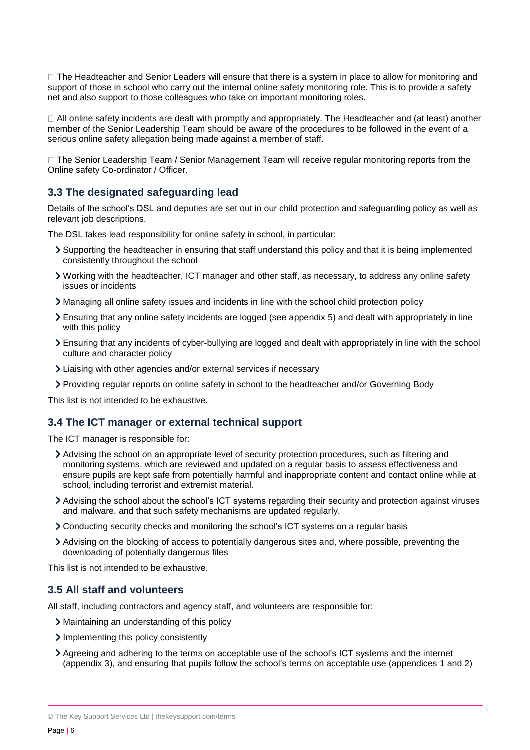□ The Headteacher and Senior Leaders will ensure that there is a system in place to allow for monitoring and support of those in school who carry out the internal online safety monitoring role. This is to provide a safety net and also support to those colleagues who take on important monitoring roles.

All online safety incidents are dealt with promptly and appropriately. The Headteacher and (at least) another member of the Senior Leadership Team should be aware of the procedures to be followed in the event of a serious online safety allegation being made against a member of staff.

 $\Box$  The Senior Leadership Team / Senior Management Team will receive regular monitoring reports from the Online safety Co-ordinator / Officer.

## **3.3 The designated safeguarding lead**

Details of the school's DSL and deputies are set out in our child protection and safeguarding policy as well as relevant job descriptions.

The DSL takes lead responsibility for online safety in school, in particular:

- Supporting the headteacher in ensuring that staff understand this policy and that it is being implemented consistently throughout the school
- Working with the headteacher, ICT manager and other staff, as necessary, to address any online safety issues or incidents
- Managing all online safety issues and incidents in line with the school child protection policy
- Ensuring that any online safety incidents are logged (see appendix 5) and dealt with appropriately in line with this policy
- Ensuring that any incidents of cyber-bullying are logged and dealt with appropriately in line with the school culture and character policy
- Liaising with other agencies and/or external services if necessary
- Providing regular reports on online safety in school to the headteacher and/or Governing Body

This list is not intended to be exhaustive.

#### **3.4 The ICT manager or external technical support**

The ICT manager is responsible for:

- Advising the school on an appropriate level of security protection procedures, such as filtering and monitoring systems, which are reviewed and updated on a regular basis to assess effectiveness and ensure pupils are kept safe from potentially harmful and inappropriate content and contact online while at school, including terrorist and extremist material.
- Advising the school about the school's ICT systems regarding their security and protection against viruses and malware, and that such safety mechanisms are updated regularly.
- Conducting security checks and monitoring the school's ICT systems on a regular basis
- Advising on the blocking of access to potentially dangerous sites and, where possible, preventing the downloading of potentially dangerous files

This list is not intended to be exhaustive.

## **3.5 All staff and volunteers**

All staff, including contractors and agency staff, and volunteers are responsible for:

- Maintaining an understanding of this policy
- Implementing this policy consistently
- Agreeing and adhering to the terms on acceptable use of the school's ICT systems and the internet (appendix 3), and ensuring that pupils follow the school's terms on acceptable use (appendices 1 and 2)

<sup>©</sup> The Key Support Services Ltd | [thekeysupport.com/terms](https://thekeysupport.com/terms-of-use)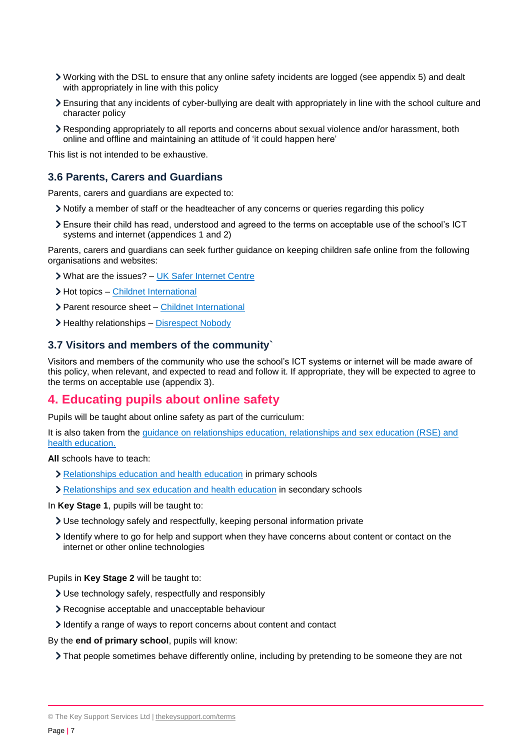- Working with the DSL to ensure that any online safety incidents are logged (see appendix 5) and dealt with appropriately in line with this policy
- Ensuring that any incidents of cyber-bullying are dealt with appropriately in line with the school culture and character policy
- Responding appropriately to all reports and concerns about sexual violence and/or harassment, both online and offline and maintaining an attitude of 'it could happen here'

This list is not intended to be exhaustive.

## **3.6 Parents, Carers and Guardians**

Parents, carers and guardians are expected to:

- Notify a member of staff or the headteacher of any concerns or queries regarding this policy
- Ensure their child has read, understood and agreed to the terms on acceptable use of the school's ICT systems and internet (appendices 1 and 2)

Parents, carers and guardians can seek further guidance on keeping children safe online from the following organisations and websites:

- What are the issues? [UK Safer Internet Centre](https://www.saferinternet.org.uk/advice-centre/parents-and-carers/what-are-issues)
- > Hot topics [Childnet International](http://www.childnet.com/parents-and-carers/hot-topics)
- Parent resource sheet [Childnet International](https://www.childnet.com/resources/parents-and-carers-resource-sheet)
- > Healthy relationships [Disrespect Nobody](https://www.disrespectnobody.co.uk/)

#### **3.7 Visitors and members of the community`**

Visitors and members of the community who use the school's ICT systems or internet will be made aware of this policy, when relevant, and expected to read and follow it. If appropriate, they will be expected to agree to the terms on acceptable use (appendix 3).

## <span id="page-6-0"></span>**4. Educating pupils about online safety**

Pupils will be taught about online safety as part of the curriculum:

It is also taken from the [guidance on relationships education, relationships and sex education \(RSE\) and](https://www.gov.uk/government/publications/relationships-education-relationships-and-sex-education-rse-and-health-education)  [health education.](https://www.gov.uk/government/publications/relationships-education-relationships-and-sex-education-rse-and-health-education)

**All** schools have to teach:

- [Relationships education and health education](https://schoolleaders.thekeysupport.com/uid/8b76f587-7bf6-4994-abf0-43850c6e8d73/) in primary schools
- [Relationships and sex education and health education](https://schoolleaders.thekeysupport.com/uid/66a1d83e-2fb9-411e-91f1-fe52a09d16d1/) in secondary schools

In **Key Stage 1**, pupils will be taught to:

- Use technology safely and respectfully, keeping personal information private
- $\ge$  Identify where to go for help and support when they have concerns about content or contact on the internet or other online technologies

Pupils in **Key Stage 2** will be taught to:

- Use technology safely, respectfully and responsibly
- Recognise acceptable and unacceptable behaviour
- I dentify a range of ways to report concerns about content and contact

By the **end of primary school**, pupils will know:

That people sometimes behave differently online, including by pretending to be someone they are not

<sup>©</sup> The Key Support Services Ltd | [thekeysupport.com/terms](https://thekeysupport.com/terms-of-use)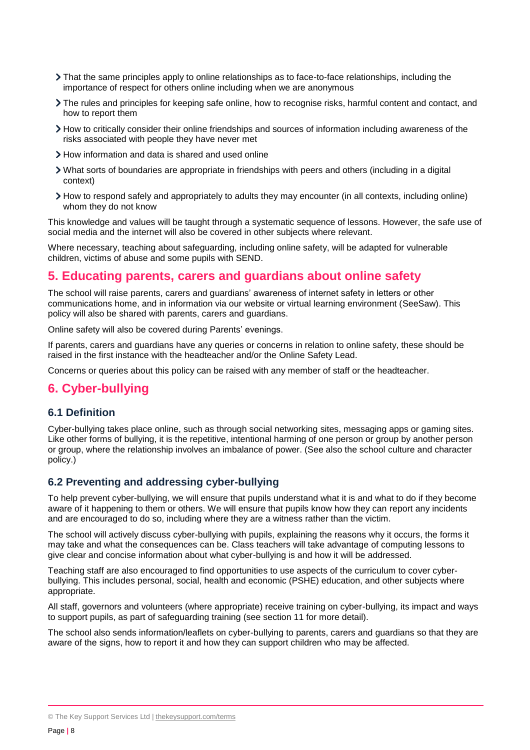- That the same principles apply to online relationships as to face-to-face relationships, including the importance of respect for others online including when we are anonymous
- The rules and principles for keeping safe online, how to recognise risks, harmful content and contact, and how to report them
- How to critically consider their online friendships and sources of information including awareness of the risks associated with people they have never met
- > How information and data is shared and used online
- What sorts of boundaries are appropriate in friendships with peers and others (including in a digital context)
- How to respond safely and appropriately to adults they may encounter (in all contexts, including online) whom they do not know

This knowledge and values will be taught through a systematic sequence of lessons. However, the safe use of social media and the internet will also be covered in other subjects where relevant.

Where necessary, teaching about safeguarding, including online safety, will be adapted for vulnerable children, victims of abuse and some pupils with SEND.

## <span id="page-7-0"></span>**5. Educating parents, carers and guardians about online safety**

The school will raise parents, carers and guardians' awareness of internet safety in letters or other communications home, and in information via our website or virtual learning environment (SeeSaw). This policy will also be shared with parents, carers and guardians.

Online safety will also be covered during Parents' evenings.

If parents, carers and guardians have any queries or concerns in relation to online safety, these should be raised in the first instance with the headteacher and/or the Online Safety Lead.

Concerns or queries about this policy can be raised with any member of staff or the headteacher.

## <span id="page-7-1"></span>**6. Cyber-bullying**

#### **6.1 Definition**

Cyber-bullying takes place online, such as through social networking sites, messaging apps or gaming sites. Like other forms of bullying, it is the repetitive, intentional harming of one person or group by another person or group, where the relationship involves an imbalance of power. (See also the school culture and character policy.)

## **6.2 Preventing and addressing cyber-bullying**

To help prevent cyber-bullying, we will ensure that pupils understand what it is and what to do if they become aware of it happening to them or others. We will ensure that pupils know how they can report any incidents and are encouraged to do so, including where they are a witness rather than the victim.

The school will actively discuss cyber-bullying with pupils, explaining the reasons why it occurs, the forms it may take and what the consequences can be. Class teachers will take advantage of computing lessons to give clear and concise information about what cyber-bullying is and how it will be addressed.

Teaching staff are also encouraged to find opportunities to use aspects of the curriculum to cover cyberbullying. This includes personal, social, health and economic (PSHE) education, and other subjects where appropriate.

All staff, governors and volunteers (where appropriate) receive training on cyber-bullying, its impact and ways to support pupils, as part of safeguarding training (see section 11 for more detail).

The school also sends information/leaflets on cyber-bullying to parents, carers and guardians so that they are aware of the signs, how to report it and how they can support children who may be affected.

<sup>©</sup> The Key Support Services Ltd | [thekeysupport.com/terms](https://thekeysupport.com/terms-of-use)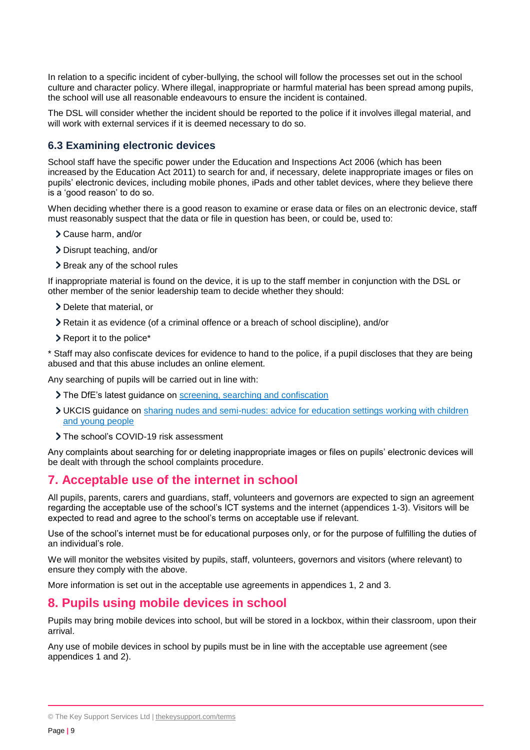In relation to a specific incident of cyber-bullying, the school will follow the processes set out in the school culture and character policy. Where illegal, inappropriate or harmful material has been spread among pupils, the school will use all reasonable endeavours to ensure the incident is contained.

The DSL will consider whether the incident should be reported to the police if it involves illegal material, and will work with external services if it is deemed necessary to do so.

## **6.3 Examining electronic devices**

School staff have the specific power under the Education and Inspections Act 2006 (which has been increased by the Education Act 2011) to search for and, if necessary, delete inappropriate images or files on pupils' electronic devices, including mobile phones, iPads and other tablet devices, where they believe there is a 'good reason' to do so.

When deciding whether there is a good reason to examine or erase data or files on an electronic device, staff must reasonably suspect that the data or file in question has been, or could be, used to:

- Cause harm, and/or
- > Disrupt teaching, and/or
- > Break any of the school rules

If inappropriate material is found on the device, it is up to the staff member in conjunction with the DSL or other member of the senior leadership team to decide whether they should:

- > Delete that material, or
- Retain it as evidence (of a criminal offence or a breach of school discipline), and/or
- > Report it to the police\*

\* Staff may also confiscate devices for evidence to hand to the police, if a pupil discloses that they are being abused and that this abuse includes an online element.

Any searching of pupils will be carried out in line with:

- The DfE's latest guidance on [screening, searching and confiscation](https://www.gov.uk/government/publications/searching-screening-and-confiscation)
- UKCIS guidance on [sharing nudes and semi-nudes: advice for education settings working with children](https://www.gov.uk/government/publications/sharing-nudes-and-semi-nudes-advice-for-education-settings-working-with-children-and-young-people)  [and young people](https://www.gov.uk/government/publications/sharing-nudes-and-semi-nudes-advice-for-education-settings-working-with-children-and-young-people)
- > The school's COVID-19 risk assessment

Any complaints about searching for or deleting inappropriate images or files on pupils' electronic devices will be dealt with through the school complaints procedure.

## <span id="page-8-0"></span>**7. Acceptable use of the internet in school**

All pupils, parents, carers and guardians, staff, volunteers and governors are expected to sign an agreement regarding the acceptable use of the school's ICT systems and the internet (appendices 1-3). Visitors will be expected to read and agree to the school's terms on acceptable use if relevant.

Use of the school's internet must be for educational purposes only, or for the purpose of fulfilling the duties of an individual's role.

We will monitor the websites visited by pupils, staff, volunteers, governors and visitors (where relevant) to ensure they comply with the above.

More information is set out in the acceptable use agreements in appendices 1, 2 and 3.

## <span id="page-8-1"></span>**8. Pupils using mobile devices in school**

Pupils may bring mobile devices into school, but will be stored in a lockbox, within their classroom, upon their arrival.

Any use of mobile devices in school by pupils must be in line with the acceptable use agreement (see appendices 1 and 2).

<sup>©</sup> The Key Support Services Ltd | [thekeysupport.com/terms](https://thekeysupport.com/terms-of-use)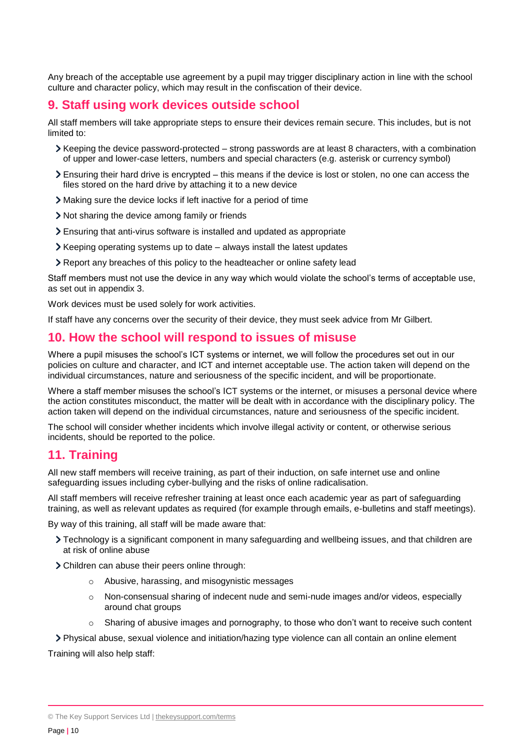Any breach of the acceptable use agreement by a pupil may trigger disciplinary action in line with the school culture and character policy, which may result in the confiscation of their device.

## <span id="page-9-0"></span>**9. Staff using work devices outside school**

All staff members will take appropriate steps to ensure their devices remain secure. This includes, but is not limited to:

- Keeping the device password-protected strong passwords are at least 8 characters, with a combination of upper and lower-case letters, numbers and special characters (e.g. asterisk or currency symbol)
- Ensuring their hard drive is encrypted this means if the device is lost or stolen, no one can access the files stored on the hard drive by attaching it to a new device
- Making sure the device locks if left inactive for a period of time
- Not sharing the device among family or friends
- Ensuring that anti-virus software is installed and updated as appropriate
- Keeping operating systems up to date always install the latest updates
- Report any breaches of this policy to the headteacher or online safety lead

Staff members must not use the device in any way which would violate the school's terms of acceptable use, as set out in appendix 3.

Work devices must be used solely for work activities.

If staff have any concerns over the security of their device, they must seek advice from Mr Gilbert.

## <span id="page-9-1"></span>**10. How the school will respond to issues of misuse**

Where a pupil misuses the school's ICT systems or internet, we will follow the procedures set out in our policies on culture and character, and ICT and internet acceptable use. The action taken will depend on the individual circumstances, nature and seriousness of the specific incident, and will be proportionate.

Where a staff member misuses the school's ICT systems or the internet, or misuses a personal device where the action constitutes misconduct, the matter will be dealt with in accordance with the disciplinary policy. The action taken will depend on the individual circumstances, nature and seriousness of the specific incident.

The school will consider whether incidents which involve illegal activity or content, or otherwise serious incidents, should be reported to the police.

## <span id="page-9-2"></span>**11. Training**

All new staff members will receive training, as part of their induction, on safe internet use and online safeguarding issues including cyber-bullying and the risks of online radicalisation.

All staff members will receive refresher training at least once each academic year as part of safeguarding training, as well as relevant updates as required (for example through emails, e-bulletins and staff meetings).

By way of this training, all staff will be made aware that:

- Technology is a significant component in many safeguarding and wellbeing issues, and that children are at risk of online abuse
- Children can abuse their peers online through:
	- o Abusive, harassing, and misogynistic messages
	- o Non-consensual sharing of indecent nude and semi-nude images and/or videos, especially around chat groups
	- $\circ$  Sharing of abusive images and pornography, to those who don't want to receive such content

Physical abuse, sexual violence and initiation/hazing type violence can all contain an online element

Training will also help staff:

<sup>©</sup> The Key Support Services Ltd | [thekeysupport.com/terms](https://thekeysupport.com/terms-of-use)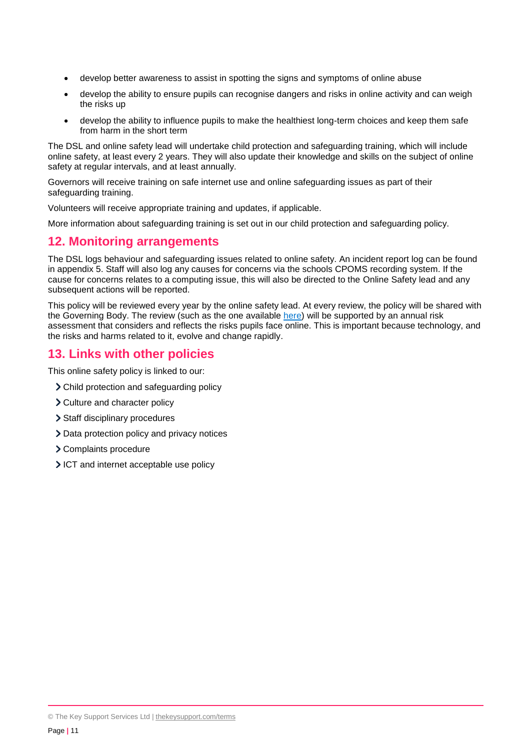- develop better awareness to assist in spotting the signs and symptoms of online abuse
- develop the ability to ensure pupils can recognise dangers and risks in online activity and can weigh the risks up
- develop the ability to influence pupils to make the healthiest long-term choices and keep them safe from harm in the short term

The DSL and online safety lead will undertake child protection and safeguarding training, which will include online safety, at least every 2 years. They will also update their knowledge and skills on the subject of online safety at regular intervals, and at least annually.

Governors will receive training on safe internet use and online safeguarding issues as part of their safeguarding training.

Volunteers will receive appropriate training and updates, if applicable.

More information about safeguarding training is set out in our child protection and safeguarding policy.

## <span id="page-10-0"></span>**12. Monitoring arrangements**

The DSL logs behaviour and safeguarding issues related to online safety. An incident report log can be found in appendix 5. Staff will also log any causes for concerns via the schools CPOMS recording system. If the cause for concerns relates to a computing issue, this will also be directed to the Online Safety lead and any subsequent actions will be reported.

This policy will be reviewed every year by the online safety lead. At every review, the policy will be shared with the Governing Body. The review (such as the one available [here\)](https://360safe.org.uk/) will be supported by an annual risk assessment that considers and reflects the risks pupils face online. This is important because technology, and the risks and harms related to it, evolve and change rapidly.

## <span id="page-10-1"></span>**13. Links with other policies**

This online safety policy is linked to our:

- Child protection and safeguarding policy
- Culture and character policy
- > Staff disciplinary procedures
- > Data protection policy and privacy notices
- Complaints procedure
- ICT and internet acceptable use policy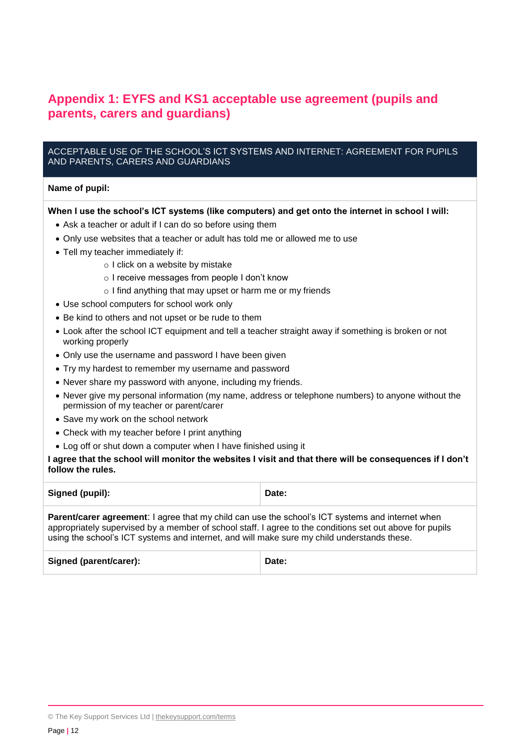## <span id="page-11-0"></span>**Appendix 1: EYFS and KS1 acceptable use agreement (pupils and parents, carers and guardians)**

## ACCEPTABLE USE OF THE SCHOOL'S ICT SYSTEMS AND INTERNET: AGREEMENT FOR PUPILS AND PARENTS, CARERS AND GUARDIANS

#### **Name of pupil:**

#### **When I use the school's ICT systems (like computers) and get onto the internet in school I will:**

- Ask a teacher or adult if I can do so before using them
- Only use websites that a teacher or adult has told me or allowed me to use
- Tell my teacher immediately if:
	- o I click on a website by mistake
	- o I receive messages from people I don't know
	- o I find anything that may upset or harm me or my friends
- Use school computers for school work only
- Be kind to others and not upset or be rude to them
- Look after the school ICT equipment and tell a teacher straight away if something is broken or not working properly
- Only use the username and password I have been given
- Try my hardest to remember my username and password
- Never share my password with anyone, including my friends.
- Never give my personal information (my name, address or telephone numbers) to anyone without the permission of my teacher or parent/carer
- Save my work on the school network
- Check with my teacher before I print anything
- Log off or shut down a computer when I have finished using it

**I agree that the school will monitor the websites I visit and that there will be consequences if I don't follow the rules.**

| Signed (pupil):                                                                                                                                                                                                                                                                                                    | Date: |  |  |  |  |
|--------------------------------------------------------------------------------------------------------------------------------------------------------------------------------------------------------------------------------------------------------------------------------------------------------------------|-------|--|--|--|--|
| <b>Parent/carer agreement:</b> I agree that my child can use the school's ICT systems and internet when<br>appropriately supervised by a member of school staff. I agree to the conditions set out above for pupils<br>using the school's ICT systems and internet, and will make sure my child understands these. |       |  |  |  |  |
| Signed (parent/carer):                                                                                                                                                                                                                                                                                             | Date: |  |  |  |  |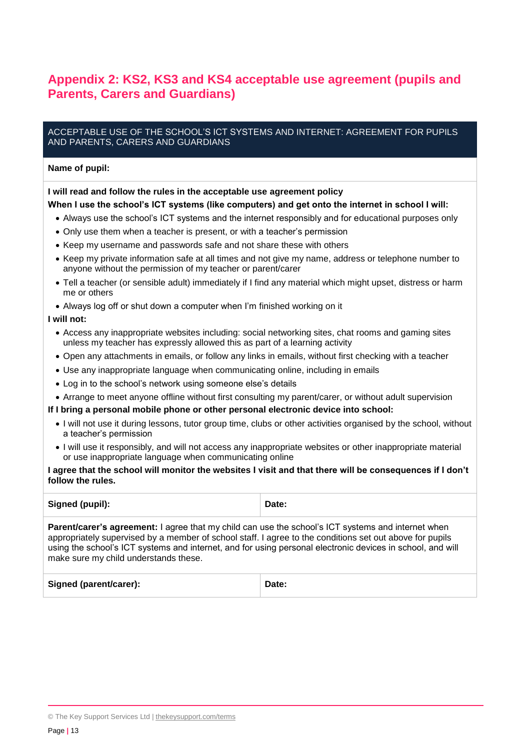## <span id="page-12-0"></span>**Appendix 2: KS2, KS3 and KS4 acceptable use agreement (pupils and Parents, Carers and Guardians)**

#### ACCEPTABLE USE OF THE SCHOOL'S ICT SYSTEMS AND INTERNET: AGREEMENT FOR PUPILS AND PARENTS, CARERS AND GUARDIANS

#### **Name of pupil:**

#### **I will read and follow the rules in the acceptable use agreement policy**

#### **When I use the school's ICT systems (like computers) and get onto the internet in school I will:**

- Always use the school's ICT systems and the internet responsibly and for educational purposes only
- Only use them when a teacher is present, or with a teacher's permission
- Keep my username and passwords safe and not share these with others
- Keep my private information safe at all times and not give my name, address or telephone number to anyone without the permission of my teacher or parent/carer
- Tell a teacher (or sensible adult) immediately if I find any material which might upset, distress or harm me or others
- Always log off or shut down a computer when I'm finished working on it

#### **I will not:**

- Access any inappropriate websites including: social networking sites, chat rooms and gaming sites unless my teacher has expressly allowed this as part of a learning activity
- Open any attachments in emails, or follow any links in emails, without first checking with a teacher
- Use any inappropriate language when communicating online, including in emails
- Log in to the school's network using someone else's details
- Arrange to meet anyone offline without first consulting my parent/carer, or without adult supervision

#### **If I bring a personal mobile phone or other personal electronic device into school:**

- I will not use it during lessons, tutor group time, clubs or other activities organised by the school, without a teacher's permission
- I will use it responsibly, and will not access any inappropriate websites or other inappropriate material or use inappropriate language when communicating online

#### **I agree that the school will monitor the websites I visit and that there will be consequences if I don't follow the rules.**

| Signed (pupil):                                                                                                                                                                                                                                                                                                                                                       | Date: |  |  |  |  |
|-----------------------------------------------------------------------------------------------------------------------------------------------------------------------------------------------------------------------------------------------------------------------------------------------------------------------------------------------------------------------|-------|--|--|--|--|
| Parent/carer's agreement: I agree that my child can use the school's ICT systems and internet when<br>appropriately supervised by a member of school staff. I agree to the conditions set out above for pupils<br>using the school's ICT systems and internet, and for using personal electronic devices in school, and will<br>make sure my child understands these. |       |  |  |  |  |
| Signed (parent/carer):                                                                                                                                                                                                                                                                                                                                                | Date: |  |  |  |  |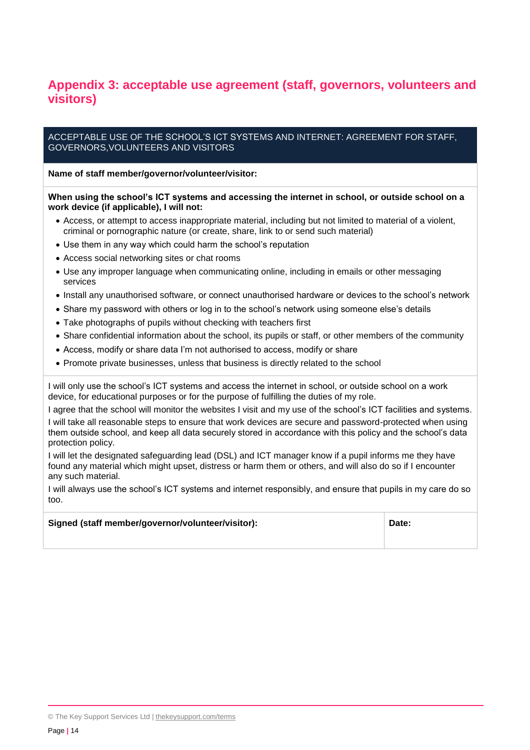## <span id="page-13-0"></span>**Appendix 3: acceptable use agreement (staff, governors, volunteers and visitors)**

### ACCEPTABLE USE OF THE SCHOOL'S ICT SYSTEMS AND INTERNET: AGREEMENT FOR STAFF, GOVERNORS,VOLUNTEERS AND VISITORS

**Name of staff member/governor/volunteer/visitor:**

#### **When using the school's ICT systems and accessing the internet in school, or outside school on a work device (if applicable), I will not:**

- Access, or attempt to access inappropriate material, including but not limited to material of a violent, criminal or pornographic nature (or create, share, link to or send such material)
- Use them in any way which could harm the school's reputation
- Access social networking sites or chat rooms
- Use any improper language when communicating online, including in emails or other messaging services
- Install any unauthorised software, or connect unauthorised hardware or devices to the school's network
- Share my password with others or log in to the school's network using someone else's details
- Take photographs of pupils without checking with teachers first
- Share confidential information about the school, its pupils or staff, or other members of the community
- Access, modify or share data I'm not authorised to access, modify or share
- Promote private businesses, unless that business is directly related to the school

I will only use the school's ICT systems and access the internet in school, or outside school on a work device, for educational purposes or for the purpose of fulfilling the duties of my role.

I agree that the school will monitor the websites I visit and my use of the school's ICT facilities and systems. I will take all reasonable steps to ensure that work devices are secure and password-protected when using them outside school, and keep all data securely stored in accordance with this policy and the school's data protection policy.

I will let the designated safeguarding lead (DSL) and ICT manager know if a pupil informs me they have found any material which might upset, distress or harm them or others, and will also do so if I encounter any such material.

I will always use the school's ICT systems and internet responsibly, and ensure that pupils in my care do so too.

#### **Signed (staff member/governor/volunteer/visitor): Date:**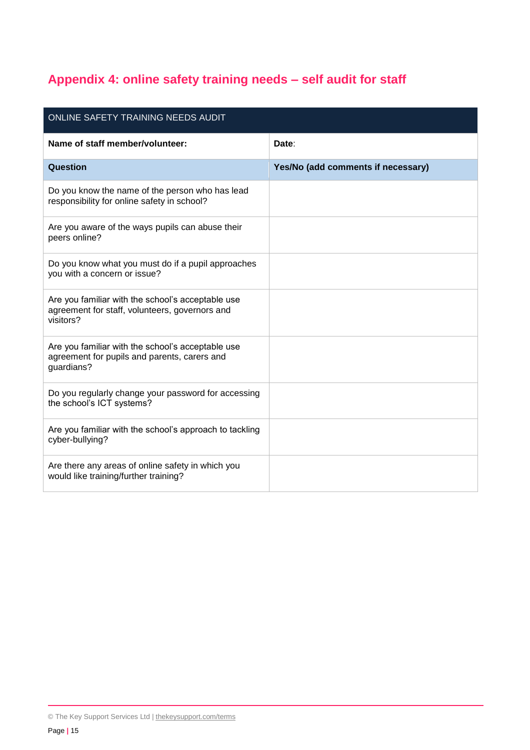## <span id="page-14-0"></span>**Appendix 4: online safety training needs – self audit for staff**

| ONLINE SAFETY TRAINING NEEDS AUDIT                                                                               |                                    |  |  |  |  |
|------------------------------------------------------------------------------------------------------------------|------------------------------------|--|--|--|--|
| Name of staff member/volunteer:                                                                                  | Date:                              |  |  |  |  |
| Question                                                                                                         | Yes/No (add comments if necessary) |  |  |  |  |
| Do you know the name of the person who has lead<br>responsibility for online safety in school?                   |                                    |  |  |  |  |
| Are you aware of the ways pupils can abuse their<br>peers online?                                                |                                    |  |  |  |  |
| Do you know what you must do if a pupil approaches<br>you with a concern or issue?                               |                                    |  |  |  |  |
| Are you familiar with the school's acceptable use<br>agreement for staff, volunteers, governors and<br>visitors? |                                    |  |  |  |  |
| Are you familiar with the school's acceptable use<br>agreement for pupils and parents, carers and<br>guardians?  |                                    |  |  |  |  |
| Do you regularly change your password for accessing<br>the school's ICT systems?                                 |                                    |  |  |  |  |
| Are you familiar with the school's approach to tackling<br>cyber-bullying?                                       |                                    |  |  |  |  |
| Are there any areas of online safety in which you<br>would like training/further training?                       |                                    |  |  |  |  |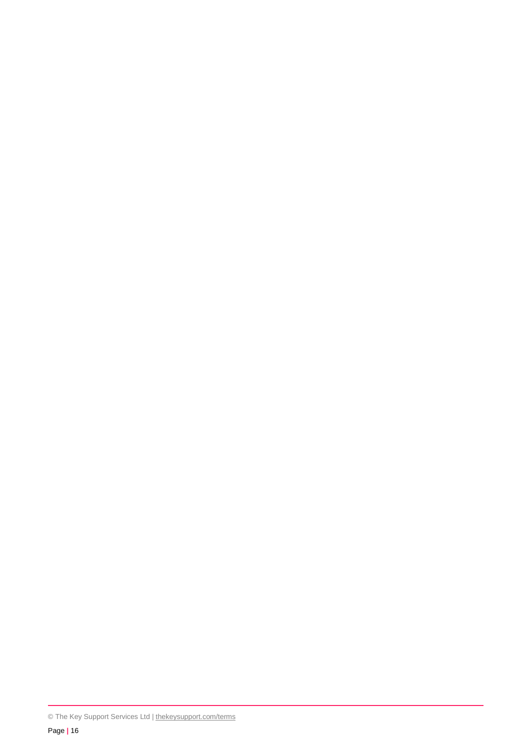<sup>©</sup> The Key Support Services Ltd | [thekeysupport.com/terms](https://thekeysupport.com/terms-of-use)